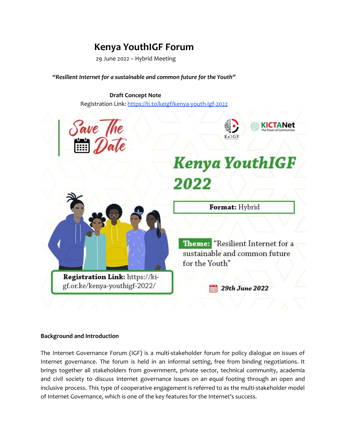# **Kenya YouthIGF Forum**

29 June 2022 – Hybrid Meeting

*"Resilient Internet for a sustainable and common future for the Youth"*

**Draft Concept Note** Registration Link: <https://ti.to/keigf/kenya-youth-igf-2022>



#### **Background and Introduction**

The Internet Governance Forum (IGF) is a multi-stakeholder forum for policy dialogue on issues of Internet governance. The forum is held in an informal setting, free from binding negotiations. It brings together all stakeholders from government, private sector, technical community, academia and civil society to discuss Internet governance issues on an equal footing through an open and inclusive process. This type of cooperative engagement is referred to as the multi-stakeholder model of Internet Governance, which is one of the key features for the Internet's success.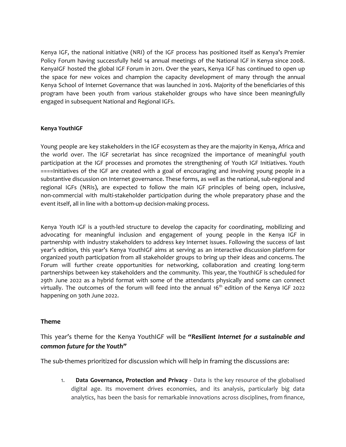Kenya IGF, the national initiative (NRI) of the IGF process has positioned itself as Kenya's Premier Policy Forum having successfully held 14 annual meetings of the National IGF in Kenya since 2008. KenyaIGF hosted the global IGF Forum in 2011. Over the years, Kenya IGF has continued to open up the space for new voices and champion the capacity development of many through the annual Kenya School of Internet Governance that was launched in 2016. Majority of the beneficiaries of this program have been youth from various stakeholder groups who have since been meaningfully engaged in subsequent National and Regional IGFs.

### **Kenya YouthIGF**

Young people are key stakeholders in the IGF ecosystem as they are the majority in Kenya, Africa and the world over. The IGF secretariat has since recognized the importance of meaningful youth participation at the IGF processes and promotes the strengthening of Youth IGF Initiatives. Youth ====Initiatives of the IGF are created with a goal of encouraging and involving young people in a substantive discussion on Internet governance. These forms, as well as the national, sub-regional and regional IGFs (NRIs), are expected to follow the main IGF principles of being open, inclusive, non-commercial with multi-stakeholder participation during the whole preparatory phase and the event itself, all in line with a bottom-up decision-making process.

Kenya Youth IGF is a youth-led structure to develop the capacity for coordinating, mobilizing and advocating for meaningful inclusion and engagement of young people in the Kenya IGF in partnership with industry stakeholders to address key Internet issues. Following the success of last year's edition, this year's Kenya YouthIGF aims at serving as an interactive discussion platform for organized youth participation from all stakeholder groups to bring up their ideas and concerns. The Forum will further create opportunities for networking, collaboration and creating long-term partnerships between key stakeholders and the community. This year, the YouthIGF is scheduled for 29th June 2022 as a hybrid format with some of the attendants physically and some can connect virtually. The outcomes of the forum will feed into the annual 16<sup>th</sup> edition of the Kenya IGF 2022 happening on 30th June 2022.

### **Theme**

This year's theme for the Kenya YouthIGF will be *"Resilient Internet for a sustainable and common future for the Youth"*

The sub-themes prioritized for discussion which will help in framing the discussions are:

1. **Data Governance, Protection and Privacy** - Data is the key resource of the globalised digital age. Its movement drives economies, and its analysis, particularly big data analytics, has been the basis for remarkable innovations across disciplines, from finance,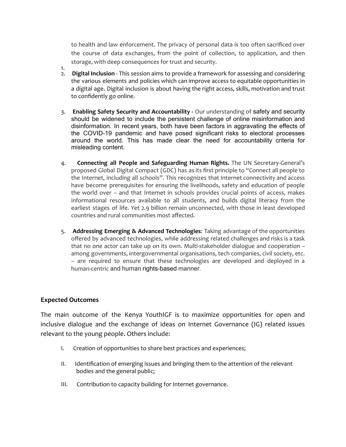to health and law enforcement. The privacy of personal data is too often sacrificed over the course of data exchanges, from the point of collection, to application, and then storage, with deep consequences for trust and security.

- 1. 2. **Digital Inclusion** - This session aims to provide a framework for assessing and considering the various elements and policies which can improve access to equitable opportunities in a digital age. Digital inclusion is about having the right access, skills, motivation and trust to confidently go online.
- 3. **Enabling Safety Security and Accountability -** Our understanding of safety and security should be widened to include the persistent challenge of online misinformation and disinformation. In recent years, both have been factors in aggravating the effects of the COVID-19 pandemic and have posed significant risks to electoral processes around the world. This has made clear the need for accountability criteria for misleading content.
- 4. **Connecting all People and Safeguarding Human Rights.** The UN Secretary-General's proposed Global Digital Compact (GDC) has as its first principle to "Connect all people to the Internet, including all schools". This recognizes that Internet connectivity and access have become prerequisites for ensuring the livelihoods, safety and education of people the world over – and that Internet in schools provides crucial points of access, makes informational resources available to all students, and builds digital literacy from the earliest stages of life. Yet 2.9 billion remain unconnected, with those in least developed countries and rural communities most affected.
- 5. **Addressing Emerging & Advanced Technologies**: Taking advantage of the opportunities offered by advanced technologies, while addressing related challenges and risks is a task that no one actor can take up on its own. Multi-stakeholder dialogue and cooperation – among governments, intergovernmental organisations, tech companies, civil society, etc. – are required to ensure that these technologies are developed and deployed in a human-centric and human rights-based manner.

## **Expected Outcomes**

The main outcome of the Kenya YouthIGF is to maximize opportunities for open and inclusive dialogue and the exchange of ideas on Internet Governance (IG) related issues relevant to the young people. Others include:

- I. Creation of opportunities to share best practices and experiences;
- II. Identification of emerging issues and bringing them to the attention of the relevant bodies and the general public;
- III. Contribution to capacity building for Internet governance.